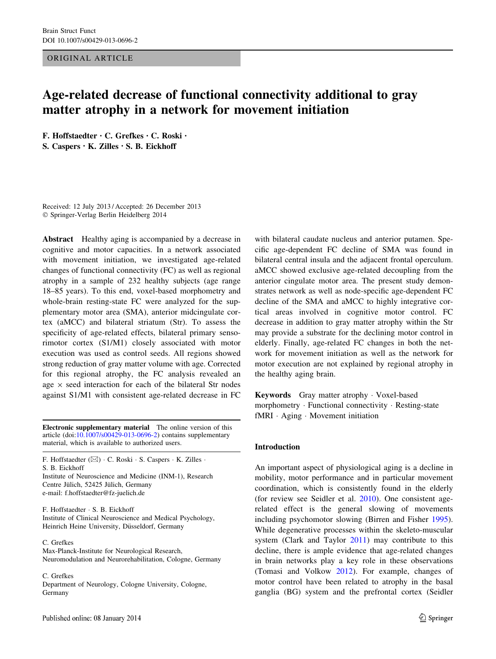#### ORIGINAL ARTICLE

# Age-related decrease of functional connectivity additional to gray matter atrophy in a network for movement initiation

F. Hoffstaedter • C. Grefkes • C. Roski • S. Caspers • K. Zilles • S. B. Eickhoff

Received: 12 July 2013 / Accepted: 26 December 2013 - Springer-Verlag Berlin Heidelberg 2014

Abstract Healthy aging is accompanied by a decrease in cognitive and motor capacities. In a network associated with movement initiation, we investigated age-related changes of functional connectivity (FC) as well as regional atrophy in a sample of 232 healthy subjects (age range 18–85 years). To this end, voxel-based morphometry and whole-brain resting-state FC were analyzed for the supplementary motor area (SMA), anterior midcingulate cortex (aMCC) and bilateral striatum (Str). To assess the specificity of age-related effects, bilateral primary sensorimotor cortex (S1/M1) closely associated with motor execution was used as control seeds. All regions showed strong reduction of gray matter volume with age. Corrected for this regional atrophy, the FC analysis revealed an age  $\times$  seed interaction for each of the bilateral Str nodes against S1/M1 with consistent age-related decrease in FC

Electronic supplementary material The online version of this article  $(doi:10.1007/s00429-013-0696-2)$  $(doi:10.1007/s00429-013-0696-2)$  contains supplementary material, which is available to authorized users.

F. Hoffstaedter (⊠) · C. Roski · S. Caspers · K. Zilles · S. B. Eickhoff Institute of Neuroscience and Medicine (INM-1), Research Centre Jülich, 52425 Jülich, Germany e-mail: f.hoffstaedter@fz-juelich.de

F. Hoffstaedter - S. B. Eickhoff Institute of Clinical Neuroscience and Medical Psychology, Heinrich Heine University, Düsseldorf, Germany

C. Grefkes

Max-Planck-Institute for Neurological Research, Neuromodulation and Neurorehabilitation, Cologne, Germany

C. Grefkes

Department of Neurology, Cologne University, Cologne, Germany

with bilateral caudate nucleus and anterior putamen. Specific age-dependent FC decline of SMA was found in bilateral central insula and the adjacent frontal operculum. aMCC showed exclusive age-related decoupling from the anterior cingulate motor area. The present study demonstrates network as well as node-specific age-dependent FC decline of the SMA and aMCC to highly integrative cortical areas involved in cognitive motor control. FC decrease in addition to gray matter atrophy within the Str may provide a substrate for the declining motor control in elderly. Finally, age-related FC changes in both the network for movement initiation as well as the network for motor execution are not explained by regional atrophy in the healthy aging brain.

Keywords Gray matter atrophy - Voxel-based morphometry - Functional connectivity - Resting-state fMRI - Aging - Movement initiation

#### Introduction

An important aspect of physiological aging is a decline in mobility, motor performance and in particular movement coordination, which is consistently found in the elderly (for review see Seidler et al. [2010\)](#page-13-0). One consistent agerelated effect is the general slowing of movements including psychomotor slowing (Birren and Fisher [1995](#page-11-0)). While degenerative processes within the skeleto-muscular system (Clark and Taylor [2011\)](#page-11-0) may contribute to this decline, there is ample evidence that age-related changes in brain networks play a key role in these observations (Tomasi and Volkow [2012\)](#page-13-0). For example, changes of motor control have been related to atrophy in the basal ganglia (BG) system and the prefrontal cortex (Seidler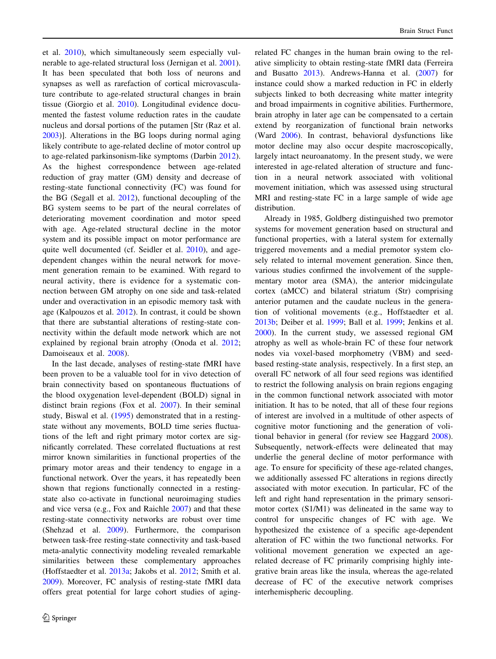et al. [2010\)](#page-13-0), which simultaneously seem especially vulnerable to age-related structural loss (Jernigan et al. [2001](#page-12-0)). It has been speculated that both loss of neurons and synapses as well as rarefaction of cortical microvasculature contribute to age-related structural changes in brain tissue (Giorgio et al. [2010](#page-12-0)). Longitudinal evidence documented the fastest volume reduction rates in the caudate nucleus and dorsal portions of the putamen [Str (Raz et al. [2003\)](#page-12-0)]. Alterations in the BG loops during normal aging likely contribute to age-related decline of motor control up to age-related parkinsonism-like symptoms (Darbin [2012](#page-11-0)). As the highest correspondence between age-related reduction of gray matter (GM) density and decrease of resting-state functional connectivity (FC) was found for the BG (Segall et al. [2012\)](#page-13-0), functional decoupling of the BG system seems to be part of the neural correlates of deteriorating movement coordination and motor speed with age. Age-related structural decline in the motor system and its possible impact on motor performance are quite well documented (cf. Seidler et al. [2010\)](#page-13-0), and agedependent changes within the neural network for movement generation remain to be examined. With regard to neural activity, there is evidence for a systematic connection between GM atrophy on one side and task-related under and overactivation in an episodic memory task with age (Kalpouzos et al. [2012\)](#page-12-0). In contrast, it could be shown that there are substantial alterations of resting-state connectivity within the default mode network which are not explained by regional brain atrophy (Onoda et al. [2012](#page-12-0); Damoiseaux et al. [2008](#page-11-0)).

In the last decade, analyses of resting-state fMRI have been proven to be a valuable tool for in vivo detection of brain connectivity based on spontaneous fluctuations of the blood oxygenation level-dependent (BOLD) signal in distinct brain regions (Fox et al. [2007](#page-12-0)). In their seminal study, Biswal et al. ([1995\)](#page-11-0) demonstrated that in a restingstate without any movements, BOLD time series fluctuations of the left and right primary motor cortex are significantly correlated. These correlated fluctuations at rest mirror known similarities in functional properties of the primary motor areas and their tendency to engage in a functional network. Over the years, it has repeatedly been shown that regions functionally connected in a restingstate also co-activate in functional neuroimaging studies and vice versa (e.g., Fox and Raichle [2007](#page-11-0)) and that these resting-state connectivity networks are robust over time (Shehzad et al. [2009\)](#page-13-0). Furthermore, the comparison between task-free resting-state connectivity and task-based meta-analytic connectivity modeling revealed remarkable similarities between these complementary approaches (Hoffstaedter et al. [2013a;](#page-12-0) Jakobs et al. [2012;](#page-12-0) Smith et al. [2009\)](#page-13-0). Moreover, FC analysis of resting-state fMRI data offers great potential for large cohort studies of agingrelated FC changes in the human brain owing to the relative simplicity to obtain resting-state fMRI data (Ferreira and Busatto [2013](#page-11-0)). Andrews-Hanna et al. ([2007\)](#page-11-0) for instance could show a marked reduction in FC in elderly subjects linked to both decreasing white matter integrity and broad impairments in cognitive abilities. Furthermore, brain atrophy in later age can be compensated to a certain extend by reorganization of functional brain networks (Ward [2006\)](#page-13-0). In contrast, behavioral dysfunctions like motor decline may also occur despite macroscopically, largely intact neuroanatomy. In the present study, we were interested in age-related alteration of structure and function in a neural network associated with volitional movement initiation, which was assessed using structural MRI and resting-state FC in a large sample of wide age distribution.

Already in 1985, Goldberg distinguished two premotor systems for movement generation based on structural and functional properties, with a lateral system for externally triggered movements and a medial premotor system closely related to internal movement generation. Since then, various studies confirmed the involvement of the supplementary motor area (SMA), the anterior midcingulate cortex (aMCC) and bilateral striatum (Str) comprising anterior putamen and the caudate nucleus in the generation of volitional movements (e.g., Hoffstaedter et al. [2013b](#page-12-0); Deiber et al. [1999;](#page-11-0) Ball et al. [1999;](#page-11-0) Jenkins et al. [2000](#page-12-0)). In the current study, we assessed regional GM atrophy as well as whole-brain FC of these four network nodes via voxel-based morphometry (VBM) and seedbased resting-state analysis, respectively. In a first step, an overall FC network of all four seed regions was identified to restrict the following analysis on brain regions engaging in the common functional network associated with motor initiation. It has to be noted, that all of these four regions of interest are involved in a multitude of other aspects of cognitive motor functioning and the generation of volitional behavior in general (for review see Haggard [2008](#page-12-0)). Subsequently, network-effects were delineated that may underlie the general decline of motor performance with age. To ensure for specificity of these age-related changes, we additionally assessed FC alterations in regions directly associated with motor execution. In particular, FC of the left and right hand representation in the primary sensorimotor cortex (S1/M1) was delineated in the same way to control for unspecific changes of FC with age. We hypothesized the existence of a specific age-dependent alteration of FC within the two functional networks. For volitional movement generation we expected an agerelated decrease of FC primarily comprising highly integrative brain areas like the insula, whereas the age-related decrease of FC of the executive network comprises interhemispheric decoupling.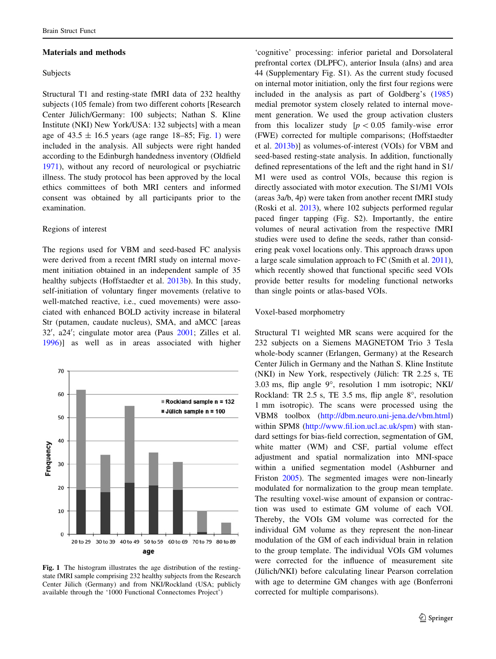#### Materials and methods

#### Subjects

Structural T1 and resting-state fMRI data of 232 healthy subjects (105 female) from two different cohorts [Research Center Jülich/Germany: 100 subjects; Nathan S. Kline Institute (NKI) New York/USA: 132 subjects] with a mean age of  $43.5 \pm 16.5$  years (age range 18–85; Fig. 1) were included in the analysis. All subjects were right handed according to the Edinburgh handedness inventory (Oldfield [1971\)](#page-12-0), without any record of neurological or psychiatric illness. The study protocol has been approved by the local ethics committees of both MRI centers and informed consent was obtained by all participants prior to the examination.

#### Regions of interest

The regions used for VBM and seed-based FC analysis were derived from a recent fMRI study on internal movement initiation obtained in an independent sample of 35 healthy subjects (Hoffstaedter et al. [2013b\)](#page-12-0). In this study, self-initiation of voluntary finger movements (relative to well-matched reactive, i.e., cued movements) were associated with enhanced BOLD activity increase in bilateral Str (putamen, caudate nucleus), SMA, and aMCC [areas 32', a24'; cingulate motor area (Paus [2001;](#page-12-0) Zilles et al. [1996\)](#page-13-0)] as well as in areas associated with higher



Fig. 1 The histogram illustrates the age distribution of the restingstate fMRI sample comprising 232 healthy subjects from the Research Center Jülich (Germany) and from NKI/Rockland (USA; publicly available through the '1000 Functional Connectomes Project')

'cognitive' processing: inferior parietal and Dorsolateral prefrontal cortex (DLPFC), anterior Insula (aIns) and area 44 (Supplementary Fig. S1). As the current study focused on internal motor initiation, only the first four regions were included in the analysis as part of Goldberg's ([1985\)](#page-12-0) medial premotor system closely related to internal movement generation. We used the group activation clusters from this localizer study  $[p < 0.05$  family-wise error (FWE) corrected for multiple comparisons; (Hoffstaedter et al. [2013b\)](#page-12-0)] as volumes-of-interest (VOIs) for VBM and seed-based resting-state analysis. In addition, functionally defined representations of the left and the right hand in S1/ M1 were used as control VOIs, because this region is directly associated with motor execution. The S1/M1 VOIs (areas 3a/b, 4p) were taken from another recent fMRI study (Roski et al. [2013\)](#page-13-0), where 102 subjects performed regular paced finger tapping (Fig. S2). Importantly, the entire volumes of neural activation from the respective fMRI studies were used to define the seeds, rather than considering peak voxel locations only. This approach draws upon a large scale simulation approach to FC (Smith et al. [2011](#page-13-0)), which recently showed that functional specific seed VOIs provide better results for modeling functional networks than single points or atlas-based VOIs.

#### Voxel-based morphometry

Structural T1 weighted MR scans were acquired for the 232 subjects on a Siemens MAGNETOM Trio 3 Tesla whole-body scanner (Erlangen, Germany) at the Research Center Jülich in Germany and the Nathan S. Kline Institute (NKI) in New York, respectively (Jülich: TR  $2.25$  s, TE 3.03 ms, flip angle  $9^\circ$ , resolution 1 mm isotropic; NKI/ Rockland: TR 2.5 s, TE 3.5 ms, flip angle  $8^\circ$ , resolution 1 mm isotropic). The scans were processed using the VBM8 toolbox [\(http://dbm.neuro.uni-jena.de/vbm.html\)](http://dbm.neuro.uni-jena.de/vbm.html) within SPM8 ([http://www.fil.ion.ucl.ac.uk/spm\)](http://www.fil.ion.ucl.ac.uk/spm) with standard settings for bias-field correction, segmentation of GM, white matter (WM) and CSF, partial volume effect adjustment and spatial normalization into MNI-space within a unified segmentation model (Ashburner and Friston [2005](#page-11-0)). The segmented images were non-linearly modulated for normalization to the group mean template. The resulting voxel-wise amount of expansion or contraction was used to estimate GM volume of each VOI. Thereby, the VOIs GM volume was corrected for the individual GM volume as they represent the non-linear modulation of the GM of each individual brain in relation to the group template. The individual VOIs GM volumes were corrected for the influence of measurement site (Jülich/NKI) before calculating linear Pearson correlation with age to determine GM changes with age (Bonferroni corrected for multiple comparisons).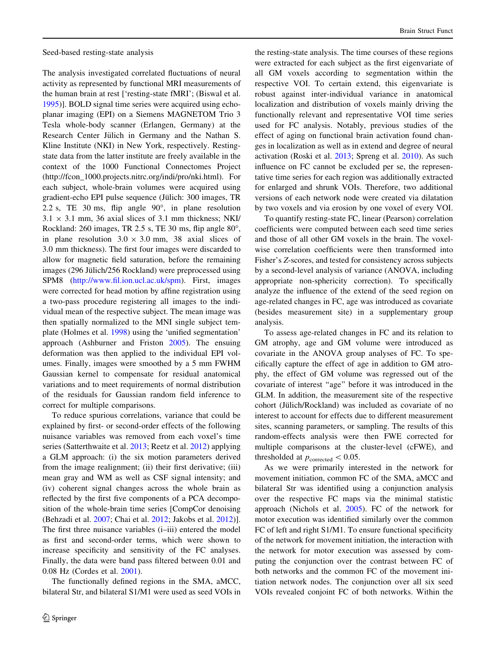Seed-based resting-state analysis

The analysis investigated correlated fluctuations of neural activity as represented by functional MRI measurements of the human brain at rest ['resting-state fMRI'; (Biswal et al. [1995\)](#page-11-0)]. BOLD signal time series were acquired using echoplanar imaging (EPI) on a Siemens MAGNETOM Trio 3 Tesla whole-body scanner (Erlangen, Germany) at the Research Center Jülich in Germany and the Nathan S. Kline Institute (NKI) in New York, respectively. Restingstate data from the latter institute are freely available in the context of the 1000 Functional Connectomes Project (http://fcon\_1000.projects.nitrc.org/indi/pro/nki.html). For each subject, whole-brain volumes were acquired using gradient-echo EPI pulse sequence (Jülich: 300 images, TR 2.2 s, TE 30 ms, flip angle  $90^\circ$ , in plane resolution  $3.1 \times 3.1$  mm, 36 axial slices of 3.1 mm thickness; NKI/ Rockland: 260 images, TR 2.5 s, TE 30 ms, flip angle  $80^\circ$ , in plane resolution  $3.0 \times 3.0$  mm, 38 axial slices of 3.0 mm thickness). The first four images were discarded to allow for magnetic field saturation, before the remaining images (296 Jülich/256 Rockland) were preprocessed using SPM8 (<http://www.fil.ion.ucl.ac.uk/spm>). First, images were corrected for head motion by affine registration using a two-pass procedure registering all images to the individual mean of the respective subject. The mean image was then spatially normalized to the MNI single subject template (Holmes et al. [1998](#page-12-0)) using the 'unified segmentation' approach (Ashburner and Friston [2005](#page-11-0)). The ensuing deformation was then applied to the individual EPI volumes. Finally, images were smoothed by a 5 mm FWHM Gaussian kernel to compensate for residual anatomical variations and to meet requirements of normal distribution of the residuals for Gaussian random field inference to correct for multiple comparisons.

To reduce spurious correlations, variance that could be explained by first- or second-order effects of the following nuisance variables was removed from each voxel's time series (Satterthwaite et al. [2013](#page-13-0); Reetz et al. [2012](#page-12-0)) applying a GLM approach: (i) the six motion parameters derived from the image realignment; (ii) their first derivative; (iii) mean gray and WM as well as CSF signal intensity; and (iv) coherent signal changes across the whole brain as reflected by the first five components of a PCA decomposition of the whole-brain time series [CompCor denoising (Behzadi et al. [2007](#page-11-0); Chai et al. [2012](#page-11-0); Jakobs et al. [2012](#page-12-0))]. The first three nuisance variables (i–iii) entered the model as first and second-order terms, which were shown to increase specificity and sensitivity of the FC analyses. Finally, the data were band pass filtered between 0.01 and 0.08 Hz (Cordes et al. [2001](#page-11-0)).

The functionally defined regions in the SMA, aMCC, bilateral Str, and bilateral S1/M1 were used as seed VOIs in

the resting-state analysis. The time courses of these regions were extracted for each subject as the first eigenvariate of all GM voxels according to segmentation within the respective VOI. To certain extend, this eigenvariate is robust against inter-individual variance in anatomical localization and distribution of voxels mainly driving the functionally relevant and representative VOI time series used for FC analysis. Notably, previous studies of the effect of aging on functional brain activation found changes in localization as well as in extend and degree of neural activation (Roski et al. [2013](#page-13-0); Spreng et al. [2010\)](#page-13-0). As such influence on FC cannot be excluded per se, the representative time series for each region was additionally extracted for enlarged and shrunk VOIs. Therefore, two additional versions of each network node were created via dilatation by two voxels and via erosion by one voxel of every VOI.

To quantify resting-state FC, linear (Pearson) correlation coefficients were computed between each seed time series and those of all other GM voxels in the brain. The voxelwise correlation coefficients were then transformed into Fisher's Z-scores, and tested for consistency across subjects by a second-level analysis of variance (ANOVA, including appropriate non-sphericity correction). To specifically analyze the influence of the extend of the seed region on age-related changes in FC, age was introduced as covariate (besides measurement site) in a supplementary group analysis.

To assess age-related changes in FC and its relation to GM atrophy, age and GM volume were introduced as covariate in the ANOVA group analyses of FC. To specifically capture the effect of age in addition to GM atrophy, the effect of GM volume was regressed out of the covariate of interest ''age'' before it was introduced in the GLM. In addition, the measurement site of the respective cohort (Jülich/Rockland) was included as covariate of no interest to account for effects due to different measurement sites, scanning parameters, or sampling. The results of this random-effects analysis were then FWE corrected for multiple comparisons at the cluster-level (cFWE), and thresholded at  $p_{\text{corrected}} < 0.05$ .

As we were primarily interested in the network for movement initiation, common FC of the SMA, aMCC and bilateral Str was identified using a conjunction analysis over the respective FC maps via the minimal statistic approach (Nichols et al. [2005](#page-12-0)). FC of the network for motor execution was identified similarly over the common FC of left and right S1/M1. To ensure functional specificity of the network for movement initiation, the interaction with the network for motor execution was assessed by computing the conjunction over the contrast between FC of both networks and the common FC of the movement initiation network nodes. The conjunction over all six seed VOIs revealed conjoint FC of both networks. Within the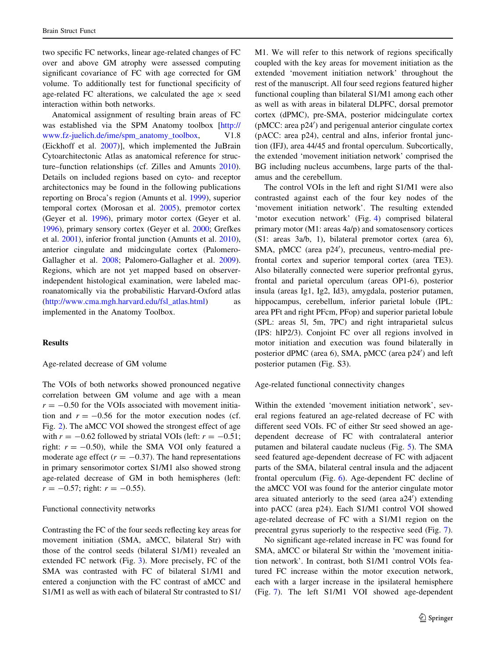two specific FC networks, linear age-related changes of FC over and above GM atrophy were assessed computing significant covariance of FC with age corrected for GM volume. To additionally test for functional specificity of age-related FC alterations, we calculated the age  $\times$  seed interaction within both networks.

Anatomical assignment of resulting brain areas of FC was established via the SPM Anatomy toolbox [\[http://](http://www.fz-juelich.de/ime/spm_anatomy_toolbox) [www.fz-juelich.de/ime/spm\\_anatomy\\_toolbox,](http://www.fz-juelich.de/ime/spm_anatomy_toolbox) V1.8 (Eickhoff et al. [2007\)](#page-11-0)], which implemented the JuBrain Cytoarchitectonic Atlas as anatomical reference for structure–function relationships (cf. Zilles and Amunts [2010](#page-13-0)). Details on included regions based on cyto- and receptor architectonics may be found in the following publications reporting on Broca's region (Amunts et al. [1999\)](#page-11-0), superior temporal cortex (Morosan et al. [2005\)](#page-12-0), premotor cortex (Geyer et al. [1996\)](#page-12-0), primary motor cortex (Geyer et al. [1996\)](#page-12-0), primary sensory cortex (Geyer et al. [2000](#page-12-0); Grefkes et al. [2001](#page-12-0)), inferior frontal junction (Amunts et al. [2010](#page-11-0)), anterior cingulate and midcingulate cortex (Palomero-Gallagher et al. [2008](#page-12-0); Palomero-Gallagher et al. [2009](#page-12-0)). Regions, which are not yet mapped based on observerindependent histological examination, were labeled macroanatomically via the probabilistic Harvard-Oxford atlas [\(http://www.cma.mgh.harvard.edu/fsl\\_atlas.html\)](http://www.cma.mgh.harvard.edu/fsl_atlas.html) as implemented in the Anatomy Toolbox.

#### **Results**

Age-related decrease of GM volume

The VOIs of both networks showed pronounced negative correlation between GM volume and age with a mean  $r = -0.50$  for the VOIs associated with movement initiation and  $r = -0.56$  for the motor execution nodes (cf. Fig. [2](#page-5-0)). The aMCC VOI showed the strongest effect of age with  $r = -0.62$  followed by striatal VOIs (left:  $r = -0.51$ ; right:  $r = -0.50$ , while the SMA VOI only featured a moderate age effect ( $r = -0.37$ ). The hand representations in primary sensorimotor cortex S1/M1 also showed strong age-related decrease of GM in both hemispheres (left:  $r = -0.57$ ; right:  $r = -0.55$ ).

#### Functional connectivity networks

Contrasting the FC of the four seeds reflecting key areas for movement initiation (SMA, aMCC, bilateral Str) with those of the control seeds (bilateral S1/M1) revealed an extended FC network (Fig. [3](#page-6-0)). More precisely, FC of the SMA was contrasted with FC of bilateral S1/M1 and entered a conjunction with the FC contrast of aMCC and S1/M1 as well as with each of bilateral Str contrasted to S1/ M1. We will refer to this network of regions specifically coupled with the key areas for movement initiation as the extended 'movement initiation network' throughout the rest of the manuscript. All four seed regions featured higher functional coupling than bilateral S1/M1 among each other as well as with areas in bilateral DLPFC, dorsal premotor cortex (dPMC), pre-SMA, posterior midcingulate cortex (pMCC: area p24') and perigenual anterior cingulate cortex (pACC: area p24), central and aIns, inferior frontal junction (IFJ), area 44/45 and frontal operculum. Subcortically, the extended 'movement initiation network' comprised the BG including nucleus accumbens, large parts of the thalamus and the cerebellum.

The control VOIs in the left and right S1/M1 were also contrasted against each of the four key nodes of the 'movement initiation network'. The resulting extended 'motor execution network' (Fig. [4](#page-6-0)) comprised bilateral primary motor (M1: areas 4a/p) and somatosensory cortices (S1: areas 3a/b, 1), bilateral premotor cortex (area 6), SMA, pMCC (area p24'), precuneus, ventro-medial prefrontal cortex and superior temporal cortex (area TE3). Also bilaterally connected were superior prefrontal gyrus, frontal and parietal operculum (areas OP1-6), posterior insula (areas Ig1, Ig2, Id3), amygdala, posterior putamen, hippocampus, cerebellum, inferior parietal lobule (IPL: area PFt and right PFcm, PFop) and superior parietal lobule (SPL: areas 5l, 5m, 7PC) and right intraparietal sulcus (IPS: hIP2/3). Conjoint FC over all regions involved in motor initiation and execution was found bilaterally in posterior dPMC (area 6), SMA, pMCC (area p24') and left posterior putamen (Fig. S3).

Age-related functional connectivity changes

Within the extended 'movement initiation network', several regions featured an age-related decrease of FC with different seed VOIs. FC of either Str seed showed an agedependent decrease of FC with contralateral anterior putamen and bilateral caudate nucleus (Fig. [5](#page-7-0)). The SMA seed featured age-dependent decrease of FC with adjacent parts of the SMA, bilateral central insula and the adjacent frontal operculum (Fig. [6](#page-7-0)). Age-dependent FC decline of the aMCC VOI was found for the anterior cingulate motor area situated anteriorly to the seed (area a24') extending into pACC (area p24). Each S1/M1 control VOI showed age-related decrease of FC with a S1/M1 region on the precentral gyrus superiorly to the respective seed (Fig. [7](#page-8-0)).

No significant age-related increase in FC was found for SMA, aMCC or bilateral Str within the 'movement initiation network'. In contrast, both S1/M1 control VOIs featured FC increase within the motor execution network, each with a larger increase in the ipsilateral hemisphere (Fig. [7\)](#page-8-0). The left S1/M1 VOI showed age-dependent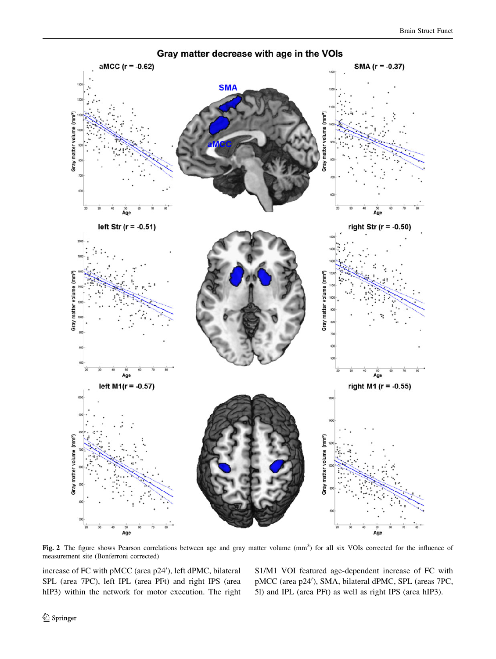<span id="page-5-0"></span>

Fig. 2 The figure shows Pearson correlations between age and gray matter volume (mm<sup>3</sup>) for all six VOIs corrected for the influence of measurement site (Bonferroni corrected)

increase of FC with pMCC (area p24'), left dPMC, bilateral SPL (area 7PC), left IPL (area PFt) and right IPS (area hIP3) within the network for motor execution. The right S1/M1 VOI featured age-dependent increase of FC with pMCC (area p24'), SMA, bilateral dPMC, SPL (areas 7PC, 5l) and IPL (area PFt) as well as right IPS (area hIP3).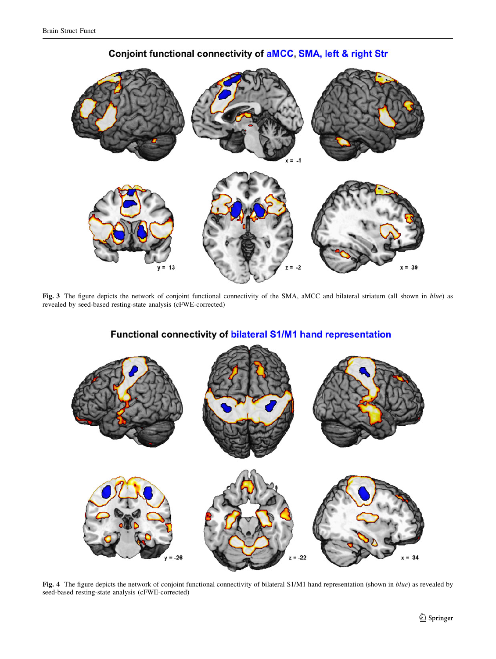<span id="page-6-0"></span>

Conjoint functional connectivity of aMCC, SMA, left & right Str

Fig. 3 The figure depicts the network of conjoint functional connectivity of the SMA, aMCC and bilateral striatum (all shown in blue) as revealed by seed-based resting-state analysis (cFWE-corrected)



## Functional connectivity of bilateral S1/M1 hand representation

Fig. 4 The figure depicts the network of conjoint functional connectivity of bilateral S1/M1 hand representation (shown in blue) as revealed by seed-based resting-state analysis (cFWE-corrected)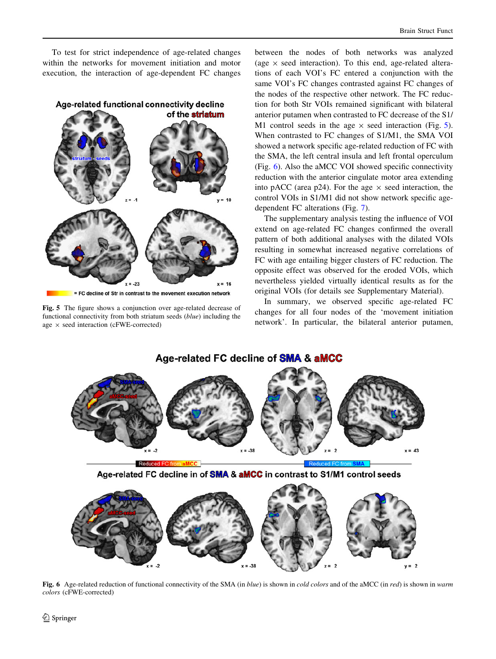<span id="page-7-0"></span>To test for strict independence of age-related changes within the networks for movement initiation and motor execution, the interaction of age-dependent FC changes



Fig. 5 The figure shows a conjunction over age-related decrease of functional connectivity from both striatum seeds (blue) including the age  $\times$  seed interaction (cFWE-corrected)

between the nodes of both networks was analyzed (age  $\times$  seed interaction). To this end, age-related alterations of each VOI's FC entered a conjunction with the same VOI's FC changes contrasted against FC changes of the nodes of the respective other network. The FC reduction for both Str VOIs remained significant with bilateral anterior putamen when contrasted to FC decrease of the S1/ M1 control seeds in the age  $\times$  seed interaction (Fig. 5). When contrasted to FC changes of S1/M1, the SMA VOI showed a network specific age-related reduction of FC with the SMA, the left central insula and left frontal operculum (Fig. 6). Also the aMCC VOI showed specific connectivity reduction with the anterior cingulate motor area extending into pACC (area p24). For the age  $\times$  seed interaction, the control VOIs in S1/M1 did not show network specific agedependent FC alterations (Fig. [7\)](#page-8-0).

The supplementary analysis testing the influence of VOI extend on age-related FC changes confirmed the overall pattern of both additional analyses with the dilated VOIs resulting in somewhat increased negative correlations of FC with age entailing bigger clusters of FC reduction. The opposite effect was observed for the eroded VOIs, which nevertheless yielded virtually identical results as for the original VOIs (for details see Supplementary Material).

In summary, we observed specific age-related FC changes for all four nodes of the 'movement initiation network'. In particular, the bilateral anterior putamen,

### Age-related FC decline of SMA & aMCC







Fig. 6 Age-related reduction of functional connectivity of the SMA (in blue) is shown in cold colors and of the aMCC (in red) is shown in warm colors (cFWE-corrected)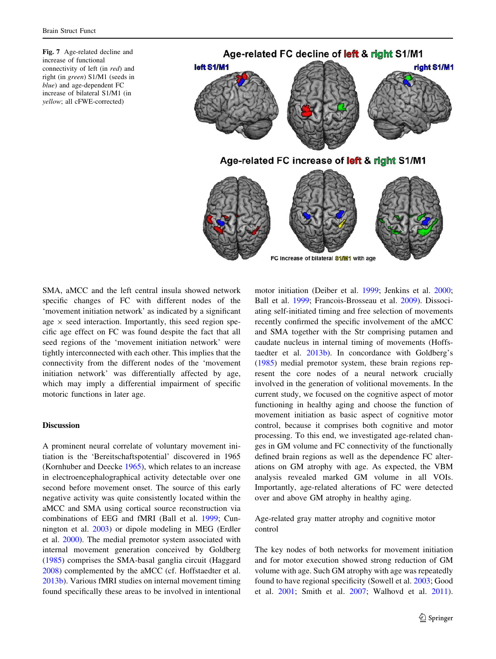<span id="page-8-0"></span>Fig. 7 Age-related decline and increase of functional connectivity of left (in red) and right (in green) S1/M1 (seeds in blue) and age-dependent FC increase of bilateral S1/M1 (in yellow; all cFWE-corrected)



SMA, aMCC and the left central insula showed network specific changes of FC with different nodes of the 'movement initiation network' as indicated by a significant age  $\times$  seed interaction. Importantly, this seed region specific age effect on FC was found despite the fact that all seed regions of the 'movement initiation network' were tightly interconnected with each other. This implies that the connectivity from the different nodes of the 'movement initiation network' was differentially affected by age, which may imply a differential impairment of specific motoric functions in later age.

### Discussion

A prominent neural correlate of voluntary movement initiation is the 'Bereitschaftspotential' discovered in 1965 (Kornhuber and Deecke [1965\)](#page-12-0), which relates to an increase in electroencephalographical activity detectable over one second before movement onset. The source of this early negative activity was quite consistently located within the aMCC and SMA using cortical source reconstruction via combinations of EEG and fMRI (Ball et al. [1999;](#page-11-0) Cunnington et al. [2003](#page-11-0)) or dipole modeling in MEG (Erdler et al. [2000](#page-11-0)). The medial premotor system associated with internal movement generation conceived by Goldberg [\(1985](#page-12-0)) comprises the SMA-basal ganglia circuit (Haggard [2008\)](#page-12-0) complemented by the aMCC (cf. Hoffstaedter et al. [2013b\)](#page-12-0). Various fMRI studies on internal movement timing found specifically these areas to be involved in intentional motor initiation (Deiber et al. [1999;](#page-11-0) Jenkins et al. [2000](#page-12-0); Ball et al. [1999;](#page-11-0) Francois-Brosseau et al. [2009](#page-12-0)). Dissociating self-initiated timing and free selection of movements recently confirmed the specific involvement of the aMCC and SMA together with the Str comprising putamen and caudate nucleus in internal timing of movements (Hoffstaedter et al. [2013b](#page-12-0)). In concordance with Goldberg's [\(1985](#page-12-0)) medial premotor system, these brain regions represent the core nodes of a neural network crucially involved in the generation of volitional movements. In the current study, we focused on the cognitive aspect of motor functioning in healthy aging and choose the function of movement initiation as basic aspect of cognitive motor control, because it comprises both cognitive and motor processing. To this end, we investigated age-related changes in GM volume and FC connectivity of the functionally defined brain regions as well as the dependence FC alterations on GM atrophy with age. As expected, the VBM analysis revealed marked GM volume in all VOIs. Importantly, age-related alterations of FC were detected over and above GM atrophy in healthy aging.

Age-related gray matter atrophy and cognitive motor control

The key nodes of both networks for movement initiation and for motor execution showed strong reduction of GM volume with age. Such GM atrophy with age was repeatedly found to have regional specificity (Sowell et al. [2003;](#page-13-0) Good et al. [2001](#page-12-0); Smith et al. [2007;](#page-13-0) Walhovd et al. [2011](#page-13-0)).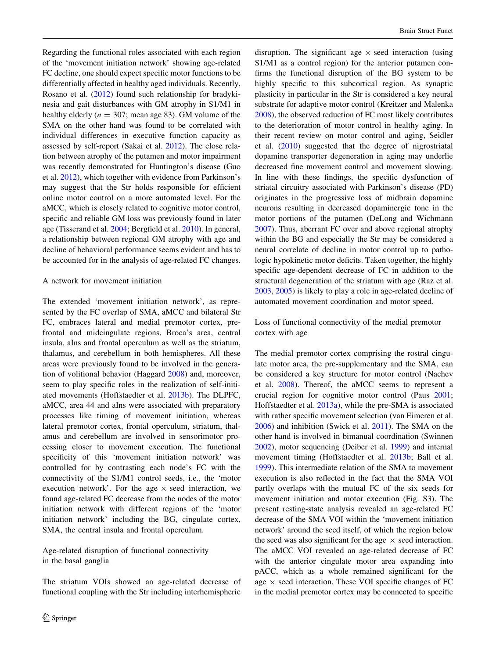Regarding the functional roles associated with each region of the 'movement initiation network' showing age-related FC decline, one should expect specific motor functions to be differentially affected in healthy aged individuals. Recently, Rosano et al. ([2012\)](#page-13-0) found such relationship for bradykinesia and gait disturbances with GM atrophy in S1/M1 in healthy elderly ( $n = 307$ ; mean age 83). GM volume of the SMA on the other hand was found to be correlated with individual differences in executive function capacity as assessed by self-report (Sakai et al. [2012\)](#page-13-0). The close relation between atrophy of the putamen and motor impairment was recently demonstrated for Huntington's disease (Guo et al. [2012\)](#page-12-0), which together with evidence from Parkinson's may suggest that the Str holds responsible for efficient online motor control on a more automated level. For the aMCC, which is closely related to cognitive motor control, specific and reliable GM loss was previously found in later age (Tisserand et al. [2004;](#page-13-0) Bergfield et al. [2010\)](#page-11-0). In general, a relationship between regional GM atrophy with age and decline of behavioral performance seems evident and has to be accounted for in the analysis of age-related FC changes.

#### A network for movement initiation

The extended 'movement initiation network', as represented by the FC overlap of SMA, aMCC and bilateral Str FC, embraces lateral and medial premotor cortex, prefrontal and midcingulate regions, Broca's area, central insula, aIns and frontal operculum as well as the striatum, thalamus, and cerebellum in both hemispheres. All these areas were previously found to be involved in the generation of volitional behavior (Haggard [2008\)](#page-12-0) and, moreover, seem to play specific roles in the realization of self-initiated movements (Hoffstaedter et al. [2013b](#page-12-0)). The DLPFC, aMCC, area 44 and aIns were associated with preparatory processes like timing of movement initiation, whereas lateral premotor cortex, frontal operculum, striatum, thalamus and cerebellum are involved in sensorimotor processing closer to movement execution. The functional specificity of this 'movement initiation network' was controlled for by contrasting each node's FC with the connectivity of the S1/M1 control seeds, i.e., the 'motor execution network'. For the age  $\times$  seed interaction, we found age-related FC decrease from the nodes of the motor initiation network with different regions of the 'motor initiation network' including the BG, cingulate cortex, SMA, the central insula and frontal operculum.

Age-related disruption of functional connectivity in the basal ganglia

The striatum VOIs showed an age-related decrease of functional coupling with the Str including interhemispheric disruption. The significant age  $\times$  seed interaction (using S1/M1 as a control region) for the anterior putamen confirms the functional disruption of the BG system to be highly specific to this subcortical region. As synaptic plasticity in particular in the Str is considered a key neural substrate for adaptive motor control (Kreitzer and Malenka [2008](#page-12-0)), the observed reduction of FC most likely contributes to the deterioration of motor control in healthy aging. In their recent review on motor control and aging, Seidler et al. ([2010\)](#page-13-0) suggested that the degree of nigrostriatal dopamine transporter degeneration in aging may underlie decreased fine movement control and movement slowing. In line with these findings, the specific dysfunction of striatal circuitry associated with Parkinson's disease (PD) originates in the progressive loss of midbrain dopamine neurons resulting in decreased dopaminergic tone in the motor portions of the putamen (DeLong and Wichmann [2007](#page-11-0)). Thus, aberrant FC over and above regional atrophy within the BG and especially the Str may be considered a neural correlate of decline in motor control up to pathologic hypokinetic motor deficits. Taken together, the highly specific age-dependent decrease of FC in addition to the structural degeneration of the striatum with age (Raz et al. [2003](#page-12-0), [2005](#page-12-0)) is likely to play a role in age-related decline of automated movement coordination and motor speed.

Loss of functional connectivity of the medial premotor cortex with age

The medial premotor cortex comprising the rostral cingulate motor area, the pre-supplementary and the SMA, can be considered a key structure for motor control (Nachev et al. [2008\)](#page-12-0). Thereof, the aMCC seems to represent a crucial region for cognitive motor control (Paus [2001](#page-12-0); Hoffstaedter et al. [2013a](#page-12-0)), while the pre-SMA is associated with rather specific movement selection (van Eimeren et al. [2006](#page-13-0)) and inhibition (Swick et al. [2011\)](#page-13-0). The SMA on the other hand is involved in bimanual coordination (Swinnen [2002](#page-13-0)), motor sequencing (Deiber et al. [1999\)](#page-11-0) and internal movement timing (Hoffstaedter et al. [2013b;](#page-12-0) Ball et al. [1999](#page-11-0)). This intermediate relation of the SMA to movement execution is also reflected in the fact that the SMA VOI partly overlaps with the mutual FC of the six seeds for movement initiation and motor execution (Fig. S3). The present resting-state analysis revealed an age-related FC decrease of the SMA VOI within the 'movement initiation network' around the seed itself, of which the region below the seed was also significant for the age  $\times$  seed interaction. The aMCC VOI revealed an age-related decrease of FC with the anterior cingulate motor area expanding into pACC, which as a whole remained significant for the age  $\times$  seed interaction. These VOI specific changes of FC in the medial premotor cortex may be connected to specific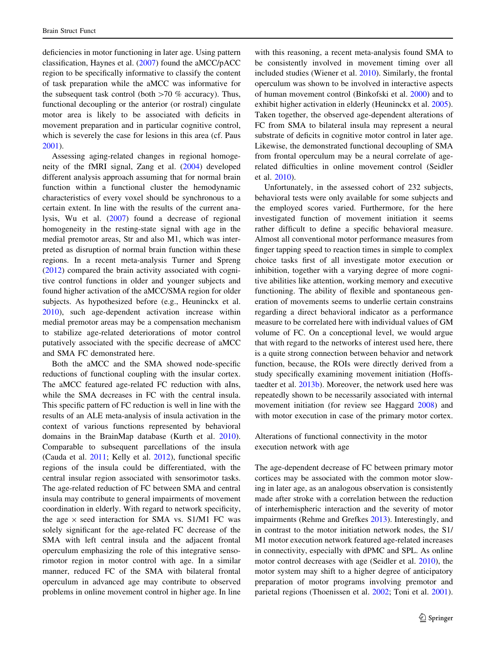deficiencies in motor functioning in later age. Using pattern classification, Haynes et al. [\(2007](#page-12-0)) found the aMCC/pACC region to be specifically informative to classify the content of task preparation while the aMCC was informative for the subsequent task control (both  $>70$  % accuracy). Thus, functional decoupling or the anterior (or rostral) cingulate motor area is likely to be associated with deficits in movement preparation and in particular cognitive control, which is severely the case for lesions in this area (cf. Paus [2001\)](#page-12-0).

Assessing aging-related changes in regional homogeneity of the fMRI signal, Zang et al. ([2004\)](#page-13-0) developed different analysis approach assuming that for normal brain function within a functional cluster the hemodynamic characteristics of every voxel should be synchronous to a certain extent. In line with the results of the current analysis, Wu et al. [\(2007](#page-13-0)) found a decrease of regional homogeneity in the resting-state signal with age in the medial premotor areas, Str and also M1, which was interpreted as disruption of normal brain function within these regions. In a recent meta-analysis Turner and Spreng [\(2012](#page-13-0)) compared the brain activity associated with cognitive control functions in older and younger subjects and found higher activation of the aMCC/SMA region for older subjects. As hypothesized before (e.g., Heuninckx et al. [2010\)](#page-12-0), such age-dependent activation increase within medial premotor areas may be a compensation mechanism to stabilize age-related deteriorations of motor control putatively associated with the specific decrease of aMCC and SMA FC demonstrated here.

Both the aMCC and the SMA showed node-specific reductions of functional coupling with the insular cortex. The aMCC featured age-related FC reduction with aIns, while the SMA decreases in FC with the central insula. This specific pattern of FC reduction is well in line with the results of an ALE meta-analysis of insula activation in the context of various functions represented by behavioral domains in the BrainMap database (Kurth et al. [2010](#page-12-0)). Comparable to subsequent parcellations of the insula (Cauda et al. [2011;](#page-11-0) Kelly et al. [2012\)](#page-12-0), functional specific regions of the insula could be differentiated, with the central insular region associated with sensorimotor tasks. The age-related reduction of FC between SMA and central insula may contribute to general impairments of movement coordination in elderly. With regard to network specificity, the age  $\times$  seed interaction for SMA vs. S1/M1 FC was solely significant for the age-related FC decrease of the SMA with left central insula and the adjacent frontal operculum emphasizing the role of this integrative sensorimotor region in motor control with age. In a similar manner, reduced FC of the SMA with bilateral frontal operculum in advanced age may contribute to observed problems in online movement control in higher age. In line

with this reasoning, a recent meta-analysis found SMA to be consistently involved in movement timing over all included studies (Wiener et al. [2010\)](#page-13-0). Similarly, the frontal operculum was shown to be involved in interactive aspects of human movement control (Binkofski et al. [2000\)](#page-11-0) and to exhibit higher activation in elderly (Heuninckx et al. [2005](#page-12-0)). Taken together, the observed age-dependent alterations of FC from SMA to bilateral insula may represent a neural substrate of deficits in cognitive motor control in later age. Likewise, the demonstrated functional decoupling of SMA from frontal operculum may be a neural correlate of agerelated difficulties in online movement control (Seidler et al. [2010\)](#page-13-0).

Unfortunately, in the assessed cohort of 232 subjects, behavioral tests were only available for some subjects and the employed scores varied. Furthermore, for the here investigated function of movement initiation it seems rather difficult to define a specific behavioral measure. Almost all conventional motor performance measures from finger tapping speed to reaction times in simple to complex choice tasks first of all investigate motor execution or inhibition, together with a varying degree of more cognitive abilities like attention, working memory and executive functioning. The ability of flexible and spontaneous generation of movements seems to underlie certain constrains regarding a direct behavioral indicator as a performance measure to be correlated here with individual values of GM volume of FC. On a conceptional level, we would argue that with regard to the networks of interest used here, there is a quite strong connection between behavior and network function, because, the ROIs were directly derived from a study specifically examining movement initiation (Hoffstaedter et al. [2013b\)](#page-12-0). Moreover, the network used here was repeatedly shown to be necessarily associated with internal movement initiation (for review see Haggard [2008\)](#page-12-0) and with motor execution in case of the primary motor cortex.

Alterations of functional connectivity in the motor execution network with age

The age-dependent decrease of FC between primary motor cortices may be associated with the common motor slowing in later age, as an analogous observation is consistently made after stroke with a correlation between the reduction of interhemispheric interaction and the severity of motor impairments (Rehme and Grefkes [2013](#page-13-0)). Interestingly, and in contrast to the motor initiation network nodes, the S1/ M1 motor execution network featured age-related increases in connectivity, especially with dPMC and SPL. As online motor control decreases with age (Seidler et al. [2010\)](#page-13-0), the motor system may shift to a higher degree of anticipatory preparation of motor programs involving premotor and parietal regions (Thoenissen et al. [2002](#page-13-0); Toni et al. [2001](#page-13-0)).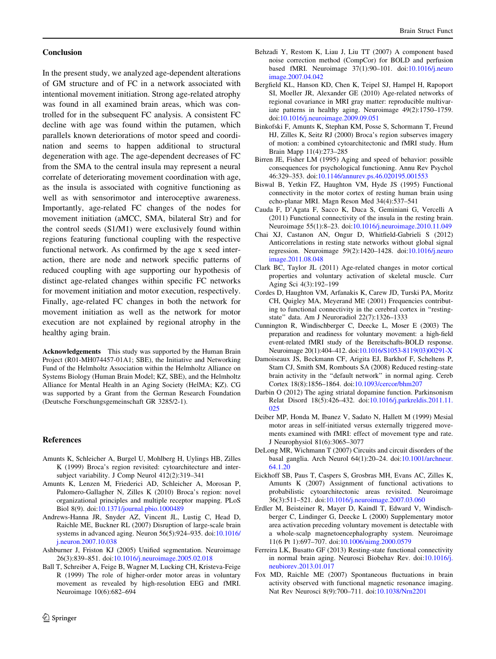#### <span id="page-11-0"></span>Conclusion

In the present study, we analyzed age-dependent alterations of GM structure and of FC in a network associated with intentional movement initiation. Strong age-related atrophy was found in all examined brain areas, which was controlled for in the subsequent FC analysis. A consistent FC decline with age was found within the putamen, which parallels known deteriorations of motor speed and coordination and seems to happen additional to structural degeneration with age. The age-dependent decreases of FC from the SMA to the central insula may represent a neural correlate of deteriorating movement coordination with age, as the insula is associated with cognitive functioning as well as with sensorimotor and interoceptive awareness. Importantly, age-related FC changes of the nodes for movement initiation (aMCC, SMA, bilateral Str) and for the control seeds (S1/M1) were exclusively found within regions featuring functional coupling with the respective functional network. As confirmed by the age x seed interaction, there are node and network specific patterns of reduced coupling with age supporting our hypothesis of distinct age-related changes within specific FC networks for movement initiation and motor execution, respectively. Finally, age-related FC changes in both the network for movement initiation as well as the network for motor execution are not explained by regional atrophy in the healthy aging brain.

Acknowledgements This study was supported by the Human Brain Project (R01-MH074457-01A1; SBE), the Initiative and Networking Fund of the Helmholtz Association within the Helmholtz Alliance on Systems Biology (Human Brain Model; KZ, SBE), and the Helmholtz Alliance for Mental Health in an Aging Society (HelMA; KZ). CG was supported by a Grant from the German Research Foundation (Deutsche Forschungsgemeinschaft GR 3285/2-1).

#### References

- Amunts K, Schleicher A, Burgel U, Mohlberg H, Uylings HB, Zilles K (1999) Broca's region revisited: cytoarchitecture and intersubject variability. J Comp Neurol 412(2):319–341
- Amunts K, Lenzen M, Friederici AD, Schleicher A, Morosan P, Palomero-Gallagher N, Zilles K (2010) Broca's region: novel organizational principles and multiple receptor mapping. PLoS Biol 8(9). doi:[10.1371/journal.pbio.1000489](http://dx.doi.org/10.1371/journal.pbio.1000489)
- Andrews-Hanna JR, Snyder AZ, Vincent JL, Lustig C, Head D, Raichle ME, Buckner RL (2007) Disruption of large-scale brain systems in advanced aging. Neuron 56(5):924–935. doi[:10.1016/](http://dx.doi.org/10.1016/j.neuron.2007.10.038) [j.neuron.2007.10.038](http://dx.doi.org/10.1016/j.neuron.2007.10.038)
- Ashburner J, Friston KJ (2005) Unified segmentation. Neuroimage 26(3):839–851. doi:[10.1016/j.neuroimage.2005.02.018](http://dx.doi.org/10.1016/j.neuroimage.2005.02.018)
- Ball T, Schreiber A, Feige B, Wagner M, Lucking CH, Kristeva-Feige R (1999) The role of higher-order motor areas in voluntary movement as revealed by high-resolution EEG and fMRI. Neuroimage 10(6):682–694
- Behzadi Y, Restom K, Liau J, Liu TT (2007) A component based noise correction method (CompCor) for BOLD and perfusion based fMRI. Neuroimage 37(1):90–101. doi:[10.1016/j.neuro](http://dx.doi.org/10.1016/j.neuroimage.2007.04.042) [image.2007.04.042](http://dx.doi.org/10.1016/j.neuroimage.2007.04.042)
- Bergfield KL, Hanson KD, Chen K, Teipel SJ, Hampel H, Rapoport SI, Moeller JR, Alexander GE (2010) Age-related networks of regional covariance in MRI gray matter: reproducible multivariate patterns in healthy aging. Neuroimage 49(2):1750–1759. doi[:10.1016/j.neuroimage.2009.09.051](http://dx.doi.org/10.1016/j.neuroimage.2009.09.051)
- Binkofski F, Amunts K, Stephan KM, Posse S, Schormann T, Freund HJ, Zilles K, Seitz RJ (2000) Broca's region subserves imagery of motion: a combined cytoarchitectonic and fMRI study. Hum Brain Mapp 11(4):273–285
- Birren JE, Fisher LM (1995) Aging and speed of behavior: possible consequences for psychological functioning. Annu Rev Psychol 46:329–353. doi:[10.1146/annurev.ps.46.020195.001553](http://dx.doi.org/10.1146/annurev.ps.46.020195.001553)
- Biswal B, Yetkin FZ, Haughton VM, Hyde JS (1995) Functional connectivity in the motor cortex of resting human brain using echo-planar MRI. Magn Reson Med 34(4):537–541
- Cauda F, D'Agata F, Sacco K, Duca S, Geminiani G, Vercelli A (2011) Functional connectivity of the insula in the resting brain. Neuroimage 55(1):8–23. doi:[10.1016/j.neuroimage.2010.11.049](http://dx.doi.org/10.1016/j.neuroimage.2010.11.049)
- Chai XJ, Castanon AN, Ongur D, Whitfield-Gabrieli S (2012) Anticorrelations in resting state networks without global signal regression. Neuroimage 59(2):1420–1428. doi:[10.1016/j.neuro](http://dx.doi.org/10.1016/j.neuroimage.2011.08.048) [image.2011.08.048](http://dx.doi.org/10.1016/j.neuroimage.2011.08.048)
- Clark BC, Taylor JL (2011) Age-related changes in motor cortical properties and voluntary activation of skeletal muscle. Curr Aging Sci 4(3):192–199
- Cordes D, Haughton VM, Arfanakis K, Carew JD, Turski PA, Moritz CH, Quigley MA, Meyerand ME (2001) Frequencies contributing to functional connectivity in the cerebral cortex in ''restingstate'' data. Am J Neuroradiol 22(7):1326–1333
- Cunnington R, Windischberger C, Deecke L, Moser E (2003) The preparation and readiness for voluntary movement: a high-field event-related fMRI study of the Bereitschafts-BOLD response. Neuroimage 20(1):404–412. doi:[10.1016/S1053-8119\(03\)00291-X](http://dx.doi.org/10.1016/S1053-8119(03)00291-X)
- Damoiseaux JS, Beckmann CF, Arigita EJ, Barkhof F, Scheltens P, Stam CJ, Smith SM, Rombouts SA (2008) Reduced resting-state brain activity in the ''default network'' in normal aging. Cereb Cortex 18(8):1856–1864. doi[:10.1093/cercor/bhm207](http://dx.doi.org/10.1093/cercor/bhm207)
- Darbin O (2012) The aging striatal dopamine function. Parkinsonism Relat Disord 18(5):426–432. doi[:10.1016/j.parkreldis.2011.11.](http://dx.doi.org/10.1016/j.parkreldis.2011.11.025) [025](http://dx.doi.org/10.1016/j.parkreldis.2011.11.025)
- Deiber MP, Honda M, Ibanez V, Sadato N, Hallett M (1999) Mesial motor areas in self-initiated versus externally triggered movements examined with fMRI: effect of movement type and rate. J Neurophysiol 81(6):3065–3077
- DeLong MR, Wichmann T (2007) Circuits and circuit disorders of the basal ganglia. Arch Neurol 64(1):20–24. doi:[10.1001/archneur.](http://dx.doi.org/10.1001/archneur.64.1.20) [64.1.20](http://dx.doi.org/10.1001/archneur.64.1.20)
- Eickhoff SB, Paus T, Caspers S, Grosbras MH, Evans AC, Zilles K, Amunts K (2007) Assignment of functional activations to probabilistic cytoarchitectonic areas revisited. Neuroimage 36(3):511–521. doi:[10.1016/j.neuroimage.2007.03.060](http://dx.doi.org/10.1016/j.neuroimage.2007.03.060)
- Erdler M, Beisteiner R, Mayer D, Kaindl T, Edward V, Windischberger C, Lindinger G, Deecke L (2000) Supplementary motor area activation preceding voluntary movement is detectable with a whole-scalp magnetoencephalography system. Neuroimage 11(6 Pt 1):697–707. doi:[10.1006/nimg.2000.0579](http://dx.doi.org/10.1006/nimg.2000.0579)
- Ferreira LK, Busatto GF (2013) Resting-state functional connectivity in normal brain aging. Neurosci Biobehav Rev. doi:[10.1016/j.](http://dx.doi.org/10.1016/j.neubiorev.2013.01.017) [neubiorev.2013.01.017](http://dx.doi.org/10.1016/j.neubiorev.2013.01.017)
- Fox MD, Raichle ME (2007) Spontaneous fluctuations in brain activity observed with functional magnetic resonance imaging. Nat Rev Neurosci 8(9):700–711. doi[:10.1038/Nrn2201](http://dx.doi.org/10.1038/Nrn2201)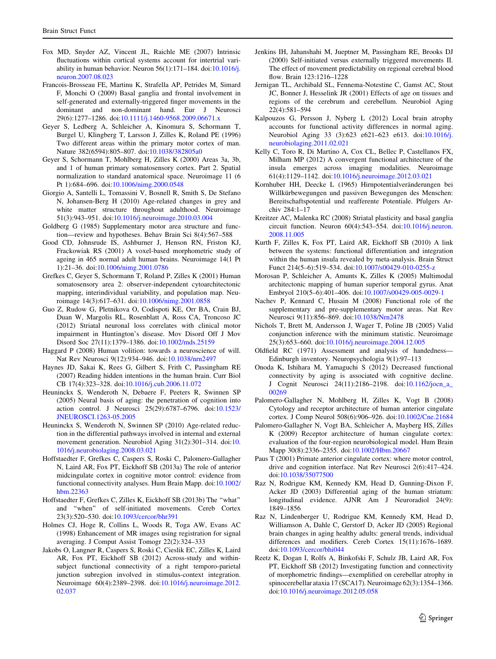- <span id="page-12-0"></span>Fox MD, Snyder AZ, Vincent JL, Raichle ME (2007) Intrinsic fluctuations within cortical systems account for intertrial variability in human behavior. Neuron 56(1):171–184. doi:[10.1016/j.](http://dx.doi.org/10.1016/j.neuron.2007.08.023) [neuron.2007.08.023](http://dx.doi.org/10.1016/j.neuron.2007.08.023)
- Francois-Brosseau FE, Martinu K, Strafella AP, Petrides M, Simard F, Monchi O (2009) Basal ganglia and frontal involvement in self-generated and externally-triggered finger movements in the dominant and non-dominant hand. Eur J Neurosci 29(6):1277–1286. doi[:10.1111/j.1460-9568.2009.06671.x](http://dx.doi.org/10.1111/j.1460-9568.2009.06671.x)
- Geyer S, Ledberg A, Schleicher A, Kinomura S, Schormann T, Burgel U, Klingberg T, Larsson J, Zilles K, Roland PE (1996) Two different areas within the primary motor cortex of man. Nature 382(6594):805–807. doi[:10.1038/382805a0](http://dx.doi.org/10.1038/382805a0)
- Geyer S, Schormann T, Mohlberg H, Zilles K (2000) Areas 3a, 3b, and 1 of human primary somatosensory cortex. Part 2. Spatial normalization to standard anatomical space. Neuroimage 11 (6 Pt 1):684–696. doi[:10.1006/nimg.2000.0548](http://dx.doi.org/10.1006/nimg.2000.0548)
- Giorgio A, Santelli L, Tomassini V, Bosnell R, Smith S, De Stefano N, Johansen-Berg H (2010) Age-related changes in grey and white matter structure throughout adulthood. Neuroimage 51(3):943–951. doi:[10.1016/j.neuroimage.2010.03.004](http://dx.doi.org/10.1016/j.neuroimage.2010.03.004)
- Goldberg G (1985) Supplementary motor area structure and function—review and hypotheses. Behav Brain Sci 8(4):567–588
- Good CD, Johnsrude IS, Ashburner J, Henson RN, Friston KJ, Frackowiak RS (2001) A voxel-based morphometric study of ageing in 465 normal adult human brains. Neuroimage 14(1 Pt 1):21–36. doi:[10.1006/nimg.2001.0786](http://dx.doi.org/10.1006/nimg.2001.0786)
- Grefkes C, Geyer S, Schormann T, Roland P, Zilles K (2001) Human somatosensory area 2: observer-independent cytoarchitectonic mapping, interindividual variability, and population map. Neuroimage 14(3):617–631. doi[:10.1006/nimg.2001.0858](http://dx.doi.org/10.1006/nimg.2001.0858)
- Guo Z, Rudow G, Pletnikova O, Codispoti KE, Orr BA, Crain BJ, Duan W, Margolis RL, Rosenblatt A, Ross CA, Troncoso JC (2012) Striatal neuronal loss correlates with clinical motor impairment in Huntington's disease. Mov Disord Off J Mov Disord Soc 27(11):1379–1386. doi:[10.1002/mds.25159](http://dx.doi.org/10.1002/mds.25159)
- Haggard P (2008) Human volition: towards a neuroscience of will. Nat Rev Neurosci 9(12):934–946. doi:[10.1038/nrn2497](http://dx.doi.org/10.1038/nrn2497)
- Haynes JD, Sakai K, Rees G, Gilbert S, Frith C, Passingham RE (2007) Reading hidden intentions in the human brain. Curr Biol CB 17(4):323–328. doi:[10.1016/j.cub.2006.11.072](http://dx.doi.org/10.1016/j.cub.2006.11.072)
- Heuninckx S, Wenderoth N, Debaere F, Peeters R, Swinnen SP (2005) Neural basis of aging: the penetration of cognition into action control. J Neurosci 25(29):6787–6796. doi[:10.1523/](http://dx.doi.org/10.1523/JNEUROSCI.1263-05.2005) [JNEUROSCI.1263-05.2005](http://dx.doi.org/10.1523/JNEUROSCI.1263-05.2005)
- Heuninckx S, Wenderoth N, Swinnen SP (2010) Age-related reduction in the differential pathways involved in internal and external movement generation. Neurobiol Aging 31(2):301–314. doi:[10.](http://dx.doi.org/10.1016/j.neurobiolaging.2008.03.021) [1016/j.neurobiolaging.2008.03.021](http://dx.doi.org/10.1016/j.neurobiolaging.2008.03.021)
- Hoffstaedter F, Grefkes C, Caspers S, Roski C, Palomero-Gallagher N, Laird AR, Fox PT, Eickhoff SB (2013a) The role of anterior midcingulate cortex in cognitive motor control: evidence from functional connectivity analyses. Hum Brain Mapp. doi[:10.1002/](http://dx.doi.org/10.1002/hbm.22363) [hbm.22363](http://dx.doi.org/10.1002/hbm.22363)
- Hoffstaedter F, Grefkes C, Zilles K, Eickhoff SB (2013b) The ''what'' and ''when'' of self-initiated movements. Cereb Cortex 23(3):520–530. doi:[10.1093/cercor/bhr391](http://dx.doi.org/10.1093/cercor/bhr391)
- Holmes CJ, Hoge R, Collins L, Woods R, Toga AW, Evans AC (1998) Enhancement of MR images using registration for signal averaging. J Comput Assist Tomogr 22(2):324–333
- Jakobs O, Langner R, Caspers S, Roski C, Cieslik EC, Zilles K, Laird AR, Fox PT, Eickhoff SB (2012) Across-study and withinsubject functional connectivity of a right temporo-parietal junction subregion involved in stimulus-context integration. Neuroimage 60(4):2389–2398. doi[:10.1016/j.neuroimage.2012.](http://dx.doi.org/10.1016/j.neuroimage.2012.02.037) [02.037](http://dx.doi.org/10.1016/j.neuroimage.2012.02.037)
- Jenkins IH, Jahanshahi M, Jueptner M, Passingham RE, Brooks DJ (2000) Self-initiated versus externally triggered movements II. The effect of movement predictability on regional cerebral blood flow. Brain 123:1216–1228
- Jernigan TL, Archibald SL, Fennema-Notestine C, Gamst AC, Stout JC, Bonner J, Hesselink JR (2001) Effects of age on tissues and regions of the cerebrum and cerebellum. Neurobiol Aging 22(4):581–594
- Kalpouzos G, Persson J, Nyberg L (2012) Local brain atrophy accounts for functional activity differences in normal aging. Neurobiol Aging 33 (3):623 e621–623 e613. doi:[10.1016/j.](http://dx.doi.org/10.1016/j.neurobiolaging.2011.02.021) [neurobiolaging.2011.02.021](http://dx.doi.org/10.1016/j.neurobiolaging.2011.02.021)
- Kelly C, Toro R, Di Martino A, Cox CL, Bellec P, Castellanos FX, Milham MP (2012) A convergent functional architecture of the insula emerges across imaging modalities. Neuroimage 61(4):1129–1142. doi[:10.1016/j.neuroimage.2012.03.021](http://dx.doi.org/10.1016/j.neuroimage.2012.03.021)
- Kornhuber HH, Deecke L (1965) Hirnpotentialveränderungen bei Willkürbewegungen und passiven Bewegungen des Menschen: Bereitschaftspotential und reafferente Potentiale. Pfulgers Archiv 284:1–17
- Kreitzer AC, Malenka RC (2008) Striatal plasticity and basal ganglia circuit function. Neuron 60(4):543–554. doi[:10.1016/j.neuron.](http://dx.doi.org/10.1016/j.neuron.2008.11.005) [2008.11.005](http://dx.doi.org/10.1016/j.neuron.2008.11.005)
- Kurth F, Zilles K, Fox PT, Laird AR, Eickhoff SB (2010) A link between the systems: functional differentiation and integration within the human insula revealed by meta-analysis. Brain Struct Funct 214(5–6):519–534. doi:[10.1007/s00429-010-0255-z](http://dx.doi.org/10.1007/s00429-010-0255-z)
- Morosan P, Schleicher A, Amunts K, Zilles K (2005) Multimodal architectonic mapping of human superior temporal gyrus. Anat Embryol 210(5–6):401–406. doi:[10.1007/s00429-005-0029-1](http://dx.doi.org/10.1007/s00429-005-0029-1)
- Nachev P, Kennard C, Husain M (2008) Functional role of the supplementary and pre-supplementary motor areas. Nat Rev Neurosci 9(11):856–869. doi[:10.1038/Nrn2478](http://dx.doi.org/10.1038/Nrn2478)
- Nichols T, Brett M, Andersson J, Wager T, Poline JB (2005) Valid conjunction inference with the minimum statistic. Neuroimage 25(3):653–660. doi:[10.1016/j.neuroimage.2004.12.005](http://dx.doi.org/10.1016/j.neuroimage.2004.12.005)
- Oldfield RC (1971) Assessment and analysis of handedness-Edinburgh inventory. Neuropsychologia 9(1):97–113
- Onoda K, Ishihara M, Yamaguchi S (2012) Decreased functional connectivity by aging is associated with cognitive decline. J Cognit Neurosci 24(11):2186–2198. doi[:10.1162/jocn\\_a\\_](http://dx.doi.org/10.1162/jocn_a_00269) [00269](http://dx.doi.org/10.1162/jocn_a_00269)
- Palomero-Gallagher N, Mohlberg H, Zilles K, Vogt B (2008) Cytology and receptor architecture of human anterior cingulate cortex. J Comp Neurol 508(6):906–926. doi[:10.1002/Cne.21684](http://dx.doi.org/10.1002/Cne.21684)
- Palomero-Gallagher N, Vogt BA, Schleicher A, Mayberg HS, Zilles K (2009) Receptor architecture of human cingulate cortex: evaluation of the four-region neurobiological model. Hum Brain Mapp 30(8):2336–2355. doi:[10.1002/Hbm.20667](http://dx.doi.org/10.1002/Hbm.20667)
- Paus T (2001) Primate anterior cingulate cortex: where motor control, drive and cognition interface. Nat Rev Neurosci 2(6):417–424. doi[:10.1038/35077500](http://dx.doi.org/10.1038/35077500)
- Raz N, Rodrigue KM, Kennedy KM, Head D, Gunning-Dixon F, Acker JD (2003) Differential aging of the human striatum: longitudinal evidence. AJNR Am J Neuroradiol 24(9): 1849–1856
- Raz N, Lindenberger U, Rodrigue KM, Kennedy KM, Head D, Williamson A, Dahle C, Gerstorf D, Acker JD (2005) Regional brain changes in aging healthy adults: general trends, individual differences and modifiers. Cereb Cortex 15(11):1676–1689. doi[:10.1093/cercor/bhi044](http://dx.doi.org/10.1093/cercor/bhi044)
- Reetz K, Dogan I, Rolfs A, Binkofski F, Schulz JB, Laird AR, Fox PT, Eickhoff SB (2012) Investigating function and connectivity of morphometric findings—exemplified on cerebellar atrophy in spinocerebellar ataxia 17 (SCA17). Neuroimage 62(3):1354–1366. doi[:10.1016/j.neuroimage.2012.05.058](http://dx.doi.org/10.1016/j.neuroimage.2012.05.058)